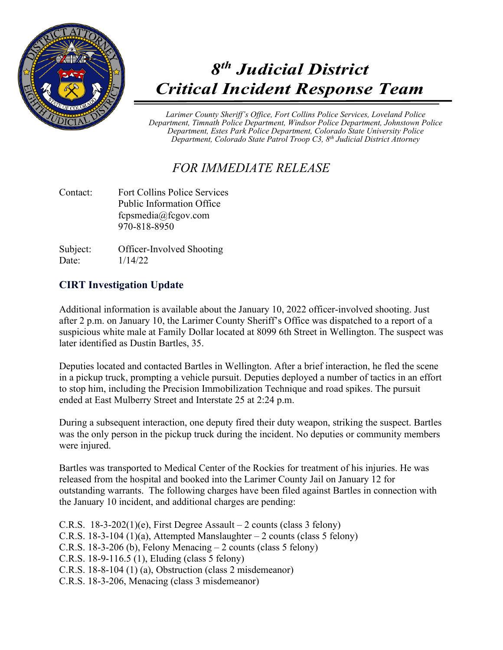

## *8th Judicial District Critical Incident Response Team*

*Larimer County Sheriff's Office, Fort Collins Police Services, Loveland Police Department, Timnath Police Department, Windsor Police Department, Johnstown Police Department, Estes Park Police Department, Colorado State University Police Department, Colorado State Patrol Troop C3, 8th Judicial District Attorney*

## *FOR IMMEDIATE RELEASE*

Contact: Fort Collins Police Services Public Information Office fcpsmedia@fcgov.com 970-818-8950

Subject: Officer-Involved Shooting Date: 1/14/22

## **CIRT Investigation Update**

Additional information is available about the January 10, 2022 officer-involved shooting. Just after 2 p.m. on January 10, the Larimer County Sheriff's Office was dispatched to a report of a suspicious white male at Family Dollar located at 8099 6th Street in Wellington. The suspect was later identified as Dustin Bartles, 35.

Deputies located and contacted Bartles in Wellington. After a brief interaction, he fled the scene in a pickup truck, prompting a vehicle pursuit. Deputies deployed a number of tactics in an effort to stop him, including the Precision Immobilization Technique and road spikes. The pursuit ended at East Mulberry Street and Interstate 25 at 2:24 p.m.

During a subsequent interaction, one deputy fired their duty weapon, striking the suspect. Bartles was the only person in the pickup truck during the incident. No deputies or community members were injured.

Bartles was transported to Medical Center of the Rockies for treatment of his injuries. He was released from the hospital and booked into the Larimer County Jail on January 12 for outstanding warrants. The following charges have been filed against Bartles in connection with the January 10 incident, and additional charges are pending:

C.R.S.  $18-3-202(1)(e)$ , First Degree Assault – 2 counts (class 3 felony) C.R.S. 18-3-104 (1)(a), Attempted Manslaughter  $-2$  counts (class 5 felony) C.R.S. 18-3-206 (b), Felony Menacing  $-2$  counts (class 5 felony) C.R.S. 18-9-116.5 (1), Eluding (class 5 felony) C.R.S. 18-8-104 (1) (a), Obstruction (class 2 misdemeanor) C.R.S. 18-3-206, Menacing (class 3 misdemeanor)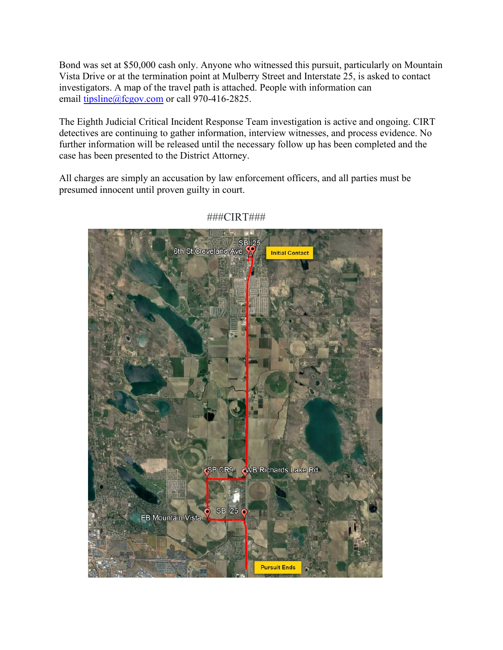Bond was set at \$50,000 cash only. Anyone who witnessed this pursuit, particularly on Mountain Vista Drive or at the termination point at Mulberry Street and Interstate 25, is asked to contact investigators. A map of the travel path is attached. People with information can email tipsline@fcgov.com or call 970-416-2825.

The Eighth Judicial Critical Incident Response Team investigation is active and ongoing. CIRT detectives are continuing to gather information, interview witnesses, and process evidence. No further information will be released until the necessary follow up has been completed and the case has been presented to the District Attorney.

All charges are simply an accusation by law enforcement officers, and all parties must be presumed innocent until proven guilty in court.



## ###CIRT###